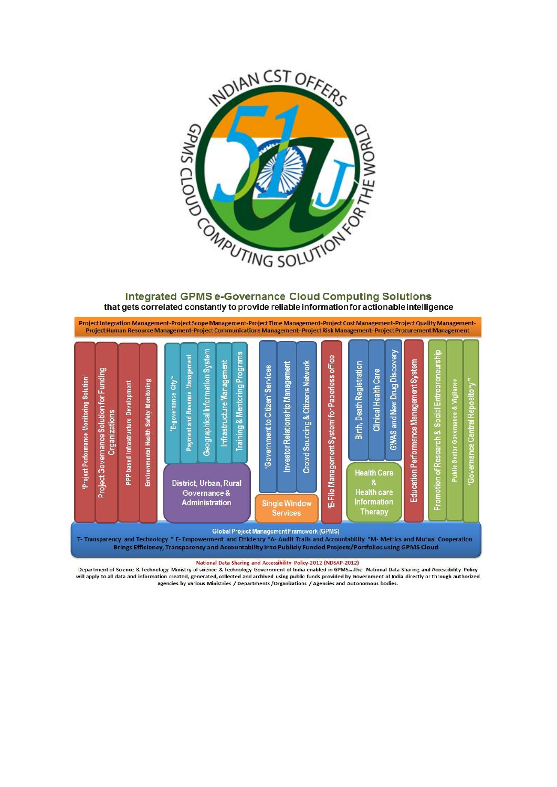

### **Integrated GPMS e-Governance Cloud Computing Solutions** that gets correlated constantly to provide reliable information for actionable intelligence



Brings Efficiency, Transparency and Accountability into Publicly Funded Projects/Portfolios using GPMS Cloud

National Data Sharing and Accessibility Policy-2012 (NDSAP-2012)

Department of Science & Technology Ministry of science & Technology Government of India enabled in GPMS....The National Data Sharing and Accessibility Policy will apply to all data and information created, generated, collected and archived using public funds provided by Government of India directly or through authorized<br>agencies by various Ministries / Departments/Organizations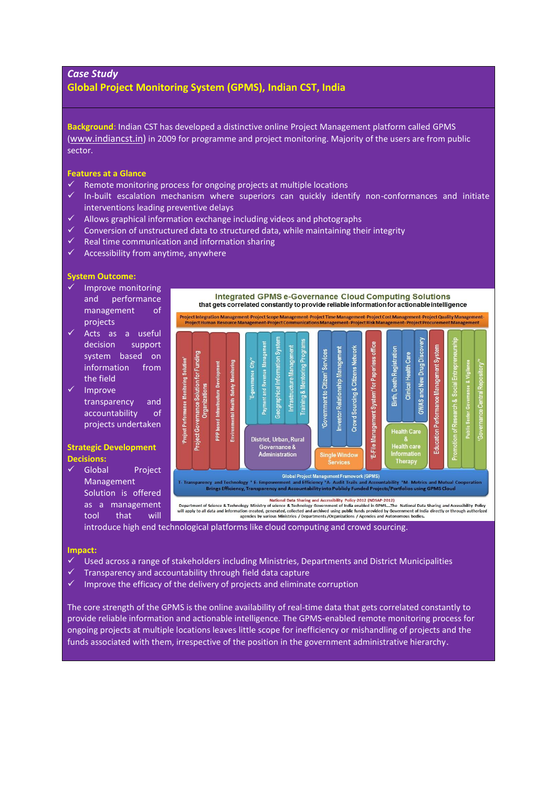# *Case Study* **Global Project Monitoring System (GPMS), Indian CST, India**

**Background**: Indian CST has developed a distinctive online Project Management platform called GPMS ([www.indiancst.in\)](http://www.indiancst.in/) in 2009 for programme and project monitoring. Majority of the users are from public sector.

### **Features at a Glance**

- Example monitoring process for ongoing projects at multiple locations<br>  $\angle$  In-huilt, escalation, mechanism, where, superiors, san quickly, ident
- In-built escalation mechanism where superiors can quickly identify non-conformances and initiate interventions leading preventive delays
- $\checkmark$  Allows graphical information exchange including videos and photographs
- $\checkmark$  Conversion of unstructured data to structured data, while maintaining their integrity
- $\checkmark$  Real time communication and information sharing
- $\checkmark$  Accessibility from anytime, anywhere

## **System Outcome:**

- $\checkmark$  Improve monitoring and performance management of projects
- Acts as a useful decision support system based on information from the field
- $\checkmark$  Improve transparency and accountability of projects undertaken

## **Strategic Development Decisions:**

 Global Project Management Solution is offered as a management tool that will



introduce high end technological platforms like cloud computing and crowd sourcing.

#### **Impact:**

- Used across a range of stakeholders including Ministries, Departments and District Municipalities
- $\checkmark$  Transparency and accountability through field data capture
- $\checkmark$  Improve the efficacy of the delivery of projects and eliminate corruption

The core strength of the GPMS is the online availability of real-time data that gets correlated constantly to provide reliable information and actionable intelligence. The GPMS-enabled remote monitoring process for ongoing projects at multiple locations leaves little scope for inefficiency or mishandling of projects and the funds associated with them, irrespective of the position in the government administrative hierarchy.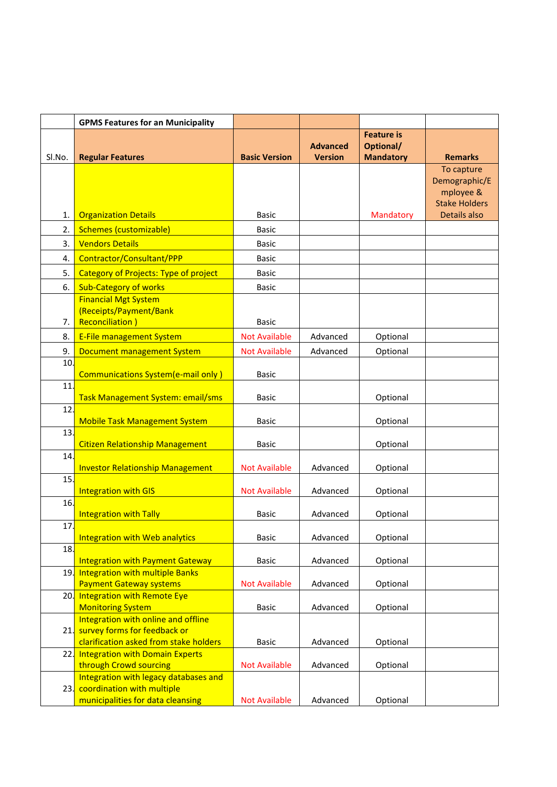|        | <b>GPMS Features for an Municipality</b>                        |                      |                                   |                               |                                      |
|--------|-----------------------------------------------------------------|----------------------|-----------------------------------|-------------------------------|--------------------------------------|
|        |                                                                 |                      |                                   | <b>Feature is</b>             |                                      |
| SI.No. | <b>Regular Features</b>                                         | <b>Basic Version</b> | <b>Advanced</b><br><b>Version</b> | Optional/<br><b>Mandatory</b> | <b>Remarks</b>                       |
|        |                                                                 |                      |                                   |                               | To capture                           |
|        |                                                                 |                      |                                   |                               | Demographic/E                        |
|        |                                                                 |                      |                                   |                               | mployee &                            |
| 1.     | <b>Organization Details</b>                                     | <b>Basic</b>         |                                   | Mandatory                     | <b>Stake Holders</b><br>Details also |
| 2.     | <b>Schemes (customizable)</b>                                   | <b>Basic</b>         |                                   |                               |                                      |
| 3.     | <b>Vendors Details</b>                                          | <b>Basic</b>         |                                   |                               |                                      |
| 4.     | Contractor/Consultant/PPP                                       | <b>Basic</b>         |                                   |                               |                                      |
| 5.     | <b>Category of Projects: Type of project</b>                    | <b>Basic</b>         |                                   |                               |                                      |
| 6.     | <b>Sub-Category of works</b>                                    | <b>Basic</b>         |                                   |                               |                                      |
|        | <b>Financial Mgt System</b>                                     |                      |                                   |                               |                                      |
|        | (Receipts/Payment/Bank                                          |                      |                                   |                               |                                      |
| 7.     | <b>Reconciliation</b> )                                         | <b>Basic</b>         |                                   |                               |                                      |
| 8.     | <b>E-File management System</b>                                 | <b>Not Available</b> | Advanced                          | Optional                      |                                      |
| 9.     | <b>Document management System</b>                               | <b>Not Available</b> | Advanced                          | Optional                      |                                      |
| 10.    | Communications System(e-mail only)                              | <b>Basic</b>         |                                   |                               |                                      |
| 11.    |                                                                 |                      |                                   |                               |                                      |
|        | Task Management System: email/sms                               | <b>Basic</b>         |                                   | Optional                      |                                      |
| 12     |                                                                 |                      |                                   |                               |                                      |
| 13.    | <b>Mobile Task Management System</b>                            | Basic                |                                   | Optional                      |                                      |
|        | <b>Citizen Relationship Management</b>                          | Basic                |                                   | Optional                      |                                      |
| 14     |                                                                 |                      |                                   |                               |                                      |
|        | <b>Investor Relationship Management</b>                         | <b>Not Available</b> | Advanced                          | Optional                      |                                      |
| 15.    | <b>Integration with GIS</b>                                     | <b>Not Available</b> | Advanced                          | Optional                      |                                      |
| 16.    |                                                                 |                      |                                   |                               |                                      |
|        | <b>Integration with Tally</b>                                   | <b>Basic</b>         | Advanced                          | Optional                      |                                      |
| 17.    |                                                                 |                      |                                   |                               |                                      |
| 18.    | <b>Integration with Web analytics</b>                           | <b>Basic</b>         | Advanced                          | Optional                      |                                      |
|        | <b>Integration with Payment Gateway</b>                         | Basic                | Advanced                          | Optional                      |                                      |
|        | 19. Integration with multiple Banks                             |                      |                                   |                               |                                      |
|        | <b>Payment Gateway systems</b>                                  | <b>Not Available</b> | Advanced                          | Optional                      |                                      |
| 20.    | <b>Integration with Remote Eye</b>                              |                      |                                   |                               |                                      |
|        | <b>Monitoring System</b><br>Integration with online and offline | <b>Basic</b>         | Advanced                          | Optional                      |                                      |
|        | 21. survey forms for feedback or                                |                      |                                   |                               |                                      |
|        | clarification asked from stake holders                          | <b>Basic</b>         | Advanced                          | Optional                      |                                      |
|        | 22. Integration with Domain Experts                             |                      |                                   |                               |                                      |
|        | through Crowd sourcing<br>Integration with legacy databases and | <b>Not Available</b> | Advanced                          | Optional                      |                                      |
|        | 23. coordination with multiple                                  |                      |                                   |                               |                                      |
|        | municipalities for data cleansing                               | <b>Not Available</b> | Advanced                          | Optional                      |                                      |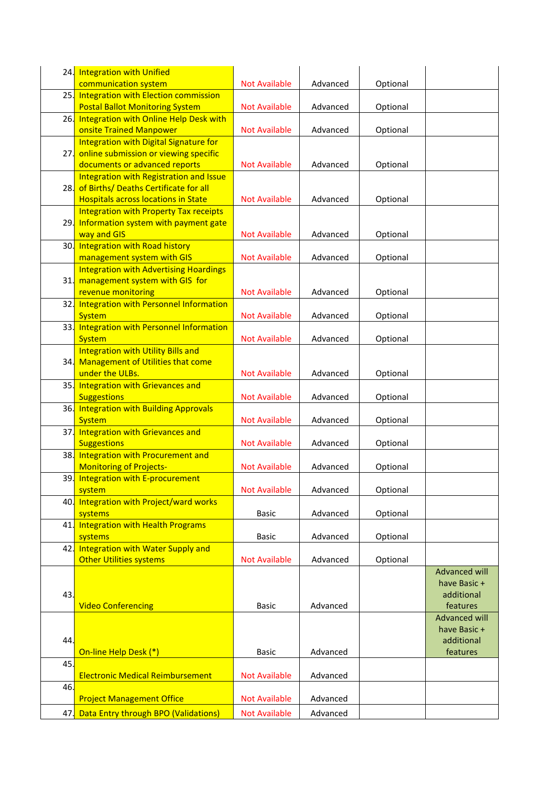|     | 24. Integration with Unified                                        |                      |          |          |                      |
|-----|---------------------------------------------------------------------|----------------------|----------|----------|----------------------|
|     | communication system                                                | <b>Not Available</b> | Advanced | Optional |                      |
|     | 25. Integration with Election commission                            |                      |          |          |                      |
|     | <b>Postal Ballot Monitoring System</b>                              | <b>Not Available</b> | Advanced | Optional |                      |
| 26  | Integration with Online Help Desk with                              |                      |          |          |                      |
|     | onsite Trained Manpower                                             | <b>Not Available</b> | Advanced | Optional |                      |
|     | Integration with Digital Signature for                              |                      |          |          |                      |
| 27  | online submission or viewing specific                               |                      |          |          |                      |
|     | documents or advanced reports                                       | <b>Not Available</b> | Advanced | Optional |                      |
|     | Integration with Registration and Issue                             |                      |          |          |                      |
|     | 28. of Births/ Deaths Certificate for all                           |                      |          |          |                      |
|     | <b>Hospitals across locations in State</b>                          | <b>Not Available</b> | Advanced | Optional |                      |
|     | <b>Integration with Property Tax receipts</b>                       |                      |          |          |                      |
|     | 29. Information system with payment gate                            |                      |          |          |                      |
|     | way and GIS                                                         | <b>Not Available</b> | Advanced | Optional |                      |
|     | 30. Integration with Road history                                   |                      |          |          |                      |
|     | management system with GIS                                          | <b>Not Available</b> | Advanced | Optional |                      |
|     | <b>Integration with Advertising Hoardings</b>                       |                      |          |          |                      |
|     | 31. management system with GIS for                                  |                      |          |          |                      |
|     | revenue monitoring                                                  | <b>Not Available</b> | Advanced | Optional |                      |
|     | 32. Integration with Personnel Information                          |                      |          |          |                      |
|     | <b>System</b>                                                       | <b>Not Available</b> | Advanced | Optional |                      |
|     | 33. Integration with Personnel Information                          |                      |          |          |                      |
|     | <b>System</b>                                                       | <b>Not Available</b> | Advanced | Optional |                      |
|     | <b>Integration with Utility Bills and</b>                           |                      |          |          |                      |
|     | 34. Management of Utilities that come                               |                      |          |          |                      |
|     | under the ULBs.                                                     | <b>Not Available</b> | Advanced | Optional |                      |
|     | 35. Integration with Grievances and                                 |                      |          |          |                      |
|     | <b>Suggestions</b>                                                  | <b>Not Available</b> | Advanced | Optional |                      |
|     | 36. Integration with Building Approvals                             |                      |          |          |                      |
|     | <b>System</b>                                                       | <b>Not Available</b> | Advanced | Optional |                      |
|     | 37. Integration with Grievances and                                 |                      |          |          |                      |
|     | <b>Suggestions</b>                                                  | <b>Not Available</b> | Advanced | Optional |                      |
|     | 38. Integration with Procurement and                                |                      |          |          |                      |
|     | <b>Monitoring of Projects-</b>                                      | <b>Not Available</b> | Advanced | Optional |                      |
|     | 39. Integration with E-procurement                                  |                      |          |          |                      |
|     | system                                                              | <b>Not Available</b> | Advanced | Optional |                      |
|     | 40. Integration with Project/ward works                             |                      |          |          |                      |
|     | systems                                                             | Basic                | Advanced | Optional |                      |
| 41. | <b>Integration with Health Programs</b>                             |                      |          |          |                      |
|     | systems                                                             | <b>Basic</b>         | Advanced | Optional |                      |
| 42. | Integration with Water Supply and<br><b>Other Utilities systems</b> |                      |          |          |                      |
|     |                                                                     | <b>Not Available</b> | Advanced | Optional | <b>Advanced will</b> |
|     |                                                                     |                      |          |          | have Basic +         |
| 43. |                                                                     |                      |          |          | additional           |
|     | <b>Video Conferencing</b>                                           | <b>Basic</b>         | Advanced |          | features             |
|     |                                                                     |                      |          |          | <b>Advanced will</b> |
|     |                                                                     |                      |          |          | have Basic +         |
| 44. |                                                                     |                      |          |          | additional           |
|     | On-line Help Desk (*)                                               | <b>Basic</b>         | Advanced |          | features             |
| 45. |                                                                     |                      |          |          |                      |
|     | <b>Electronic Medical Reimbursement</b>                             | <b>Not Available</b> | Advanced |          |                      |
| 46. |                                                                     |                      |          |          |                      |
|     | <b>Project Management Office</b>                                    | <b>Not Available</b> | Advanced |          |                      |
|     |                                                                     |                      |          |          |                      |
| 47. | Data Entry through BPO (Validations)                                | <b>Not Available</b> | Advanced |          |                      |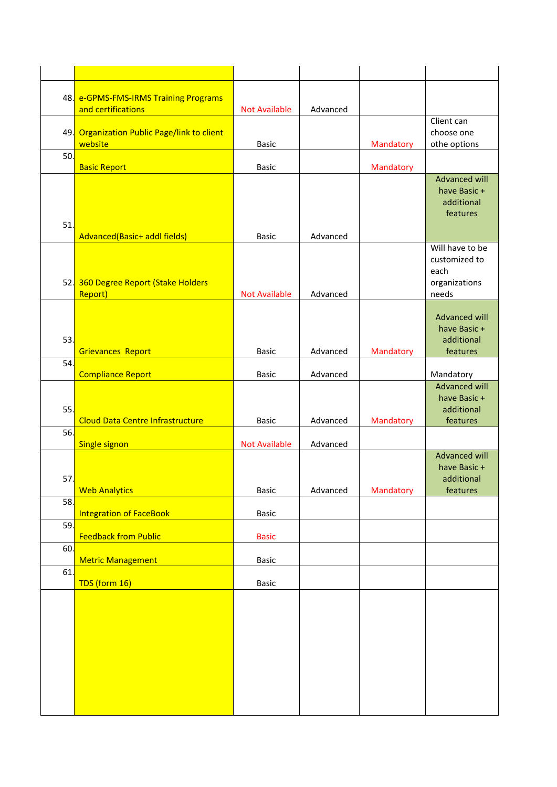|     | 48. e-GPMS-FMS-IRMS Training Programs<br>and certifications | <b>Not Available</b> | Advanced |           |                                                                    |
|-----|-------------------------------------------------------------|----------------------|----------|-----------|--------------------------------------------------------------------|
|     | 49. Organization Public Page/link to client<br>website      | <b>Basic</b>         |          | Mandatory | Client can<br>choose one<br>othe options                           |
| 50. | <b>Basic Report</b>                                         | Basic                |          | Mandatory |                                                                    |
| 51. |                                                             |                      |          |           | <b>Advanced will</b><br>have Basic +<br>additional<br>features     |
|     | Advanced(Basic+ addl fields)                                | <b>Basic</b>         | Advanced |           |                                                                    |
|     | 52. 360 Degree Report (Stake Holders<br>Report)             | <b>Not Available</b> | Advanced |           | Will have to be<br>customized to<br>each<br>organizations<br>needs |
| 53  | <b>Grievances Report</b>                                    | <b>Basic</b>         | Advanced | Mandatory | Advanced will<br>have Basic +<br>additional<br>features            |
| 54  |                                                             | <b>Basic</b>         | Advanced |           |                                                                    |
|     | <b>Compliance Report</b>                                    |                      |          |           | Mandatory<br><b>Advanced will</b>                                  |
| 55. | <b>Cloud Data Centre Infrastructure</b>                     | <b>Basic</b>         | Advanced | Mandatory | have Basic +<br>additional<br>features                             |
| 56. |                                                             |                      |          |           |                                                                    |
| 57. | <b>Single signon</b>                                        | <b>Not Available</b> | Advanced |           | <b>Advanced will</b><br>have Basic +<br>additional                 |
| 58. | <b>Web Analytics</b>                                        | Basic                | Advanced | Mandatory | features                                                           |
|     | <b>Integration of FaceBook</b>                              | Basic                |          |           |                                                                    |
| 59. | <b>Feedback from Public</b>                                 | <b>Basic</b>         |          |           |                                                                    |
| 60. | <b>Metric Management</b>                                    | Basic                |          |           |                                                                    |
| 61. |                                                             |                      |          |           |                                                                    |
|     | TDS (form 16)                                               | Basic                |          |           |                                                                    |
|     |                                                             |                      |          |           |                                                                    |